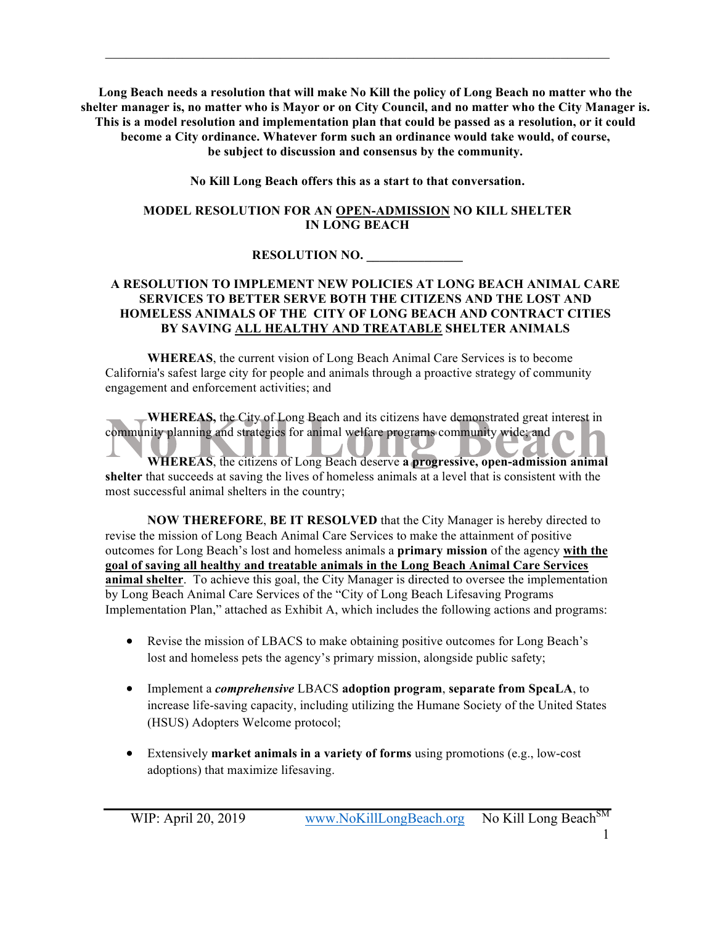**Long Beach needs a resolution that will make No Kill the policy of Long Beach no matter who the shelter manager is, no matter who is Mayor or on City Council, and no matter who the City Manager is. This is a model resolution and implementation plan that could be passed as a resolution, or it could become a City ordinance. Whatever form such an ordinance would take would, of course, be subject to discussion and consensus by the community.** 

 $\mathcal{L}_\mathcal{L} = \{ \mathcal{L}_\mathcal{L} = \{ \mathcal{L}_\mathcal{L} = \{ \mathcal{L}_\mathcal{L} = \{ \mathcal{L}_\mathcal{L} = \{ \mathcal{L}_\mathcal{L} = \{ \mathcal{L}_\mathcal{L} = \{ \mathcal{L}_\mathcal{L} = \{ \mathcal{L}_\mathcal{L} = \{ \mathcal{L}_\mathcal{L} = \{ \mathcal{L}_\mathcal{L} = \{ \mathcal{L}_\mathcal{L} = \{ \mathcal{L}_\mathcal{L} = \{ \mathcal{L}_\mathcal{L} = \{ \mathcal{L}_\mathcal{$ 

**No Kill Long Beach offers this as a start to that conversation.**

#### **MODEL RESOLUTION FOR AN OPEN-ADMISSION NO KILL SHELTER IN LONG BEACH**

### **RESOLUTION NO. \_\_\_\_\_\_\_\_\_\_\_\_\_\_\_**

#### **A RESOLUTION TO IMPLEMENT NEW POLICIES AT LONG BEACH ANIMAL CARE SERVICES TO BETTER SERVE BOTH THE CITIZENS AND THE LOST AND HOMELESS ANIMALS OF THE CITY OF LONG BEACH AND CONTRACT CITIES BY SAVING ALL HEALTHY AND TREATABLE SHELTER ANIMALS**

**WHEREAS**, the current vision of Long Beach Animal Care Services is to become California's safest large city for people and animals through a proactive strategy of community engagement and enforcement activities; and

**WHEREAS,** the City of Long Beach and its citizens have demonstrated great interest in community planning and strategies for animal welfare programs community wide; and

**WHEREAS**, the citizens of Long Beach deserve **a progressive, open-admission animal shelter** that succeeds at saving the lives of homeless animals at a level that is consistent with the most successful animal shelters in the country;

**NOW THEREFORE**, **BE IT RESOLVED** that the City Manager is hereby directed to revise the mission of Long Beach Animal Care Services to make the attainment of positive outcomes for Long Beach's lost and homeless animals a **primary mission** of the agency **with the goal of saving all healthy and treatable animals in the Long Beach Animal Care Services animal shelter**. To achieve this goal, the City Manager is directed to oversee the implementation by Long Beach Animal Care Services of the "City of Long Beach Lifesaving Programs Implementation Plan," attached as Exhibit A, which includes the following actions and programs:

- Revise the mission of LBACS to make obtaining positive outcomes for Long Beach's lost and homeless pets the agency's primary mission, alongside public safety;
- Implement a *comprehensive* LBACS **adoption program**, **separate from SpcaLA**, to increase life-saving capacity, including utilizing the Humane Society of the United States (HSUS) Adopters Welcome protocol;
- Extensively **market animals in a variety of forms** using promotions (e.g., low-cost adoptions) that maximize lifesaving.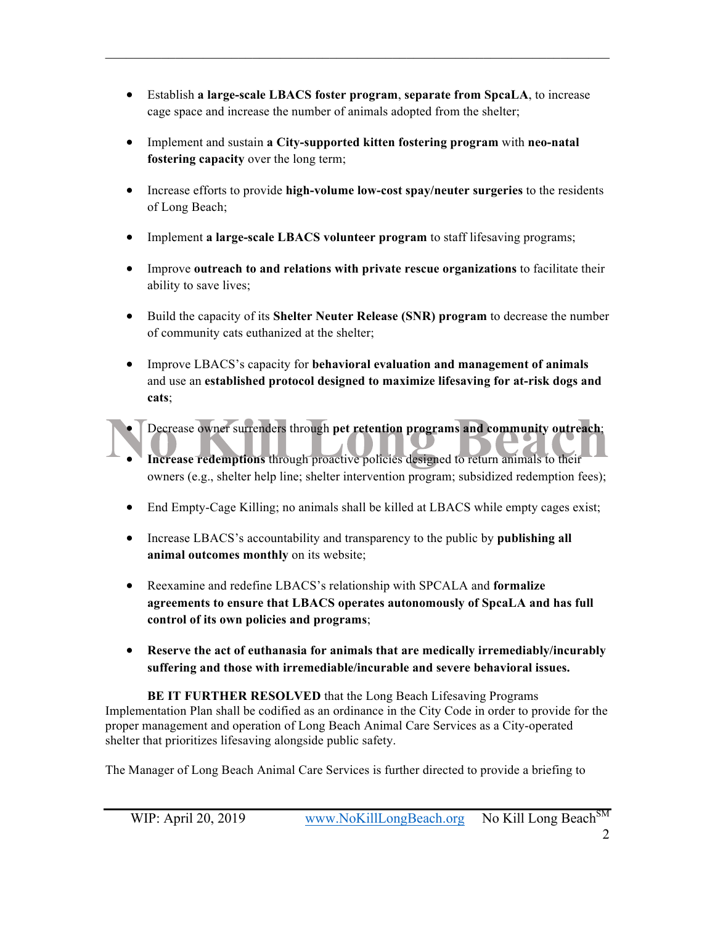• Establish **a large-scale LBACS foster program**, **separate from SpcaLA**, to increase cage space and increase the number of animals adopted from the shelter;

 $\mathcal{L}_\mathcal{L} = \{ \mathcal{L}_\mathcal{L} = \{ \mathcal{L}_\mathcal{L} = \{ \mathcal{L}_\mathcal{L} = \{ \mathcal{L}_\mathcal{L} = \{ \mathcal{L}_\mathcal{L} = \{ \mathcal{L}_\mathcal{L} = \{ \mathcal{L}_\mathcal{L} = \{ \mathcal{L}_\mathcal{L} = \{ \mathcal{L}_\mathcal{L} = \{ \mathcal{L}_\mathcal{L} = \{ \mathcal{L}_\mathcal{L} = \{ \mathcal{L}_\mathcal{L} = \{ \mathcal{L}_\mathcal{L} = \{ \mathcal{L}_\mathcal{$ 

- Implement and sustain **a City-supported kitten fostering program** with **neo-natal fostering capacity** over the long term;
- Increase efforts to provide **high-volume low-cost spay/neuter surgeries** to the residents of Long Beach;
- Implement **a large-scale LBACS volunteer program** to staff lifesaving programs;
- Improve **outreach to and relations with private rescue organizations** to facilitate their ability to save lives;
- Build the capacity of its **Shelter Neuter Release (SNR) program** to decrease the number of community cats euthanized at the shelter;
- Improve LBACS's capacity for **behavioral evaluation and management of animals** and use an **established protocol designed to maximize lifesaving for at-risk dogs and cats**;
- Decrease owner surrenders through **pet retention programs and community outreach**;
- **Increase redemptions** through proactive policies designed to return animals to their owners (e.g., shelter help line; shelter intervention program; subsidized redemption fees);
- End Empty-Cage Killing; no animals shall be killed at LBACS while empty cages exist;
- Increase LBACS's accountability and transparency to the public by **publishing all animal outcomes monthly** on its website;
- Reexamine and redefine LBACS's relationship with SPCALA and **formalize agreements to ensure that LBACS operates autonomously of SpcaLA and has full control of its own policies and programs**;
- **Reserve the act of euthanasia for animals that are medically irremediably/incurably suffering and those with irremediable/incurable and severe behavioral issues.**

**BE IT FURTHER RESOLVED** that the Long Beach Lifesaving Programs Implementation Plan shall be codified as an ordinance in the City Code in order to provide for the proper management and operation of Long Beach Animal Care Services as a City-operated shelter that prioritizes lifesaving alongside public safety.

The Manager of Long Beach Animal Care Services is further directed to provide a briefing to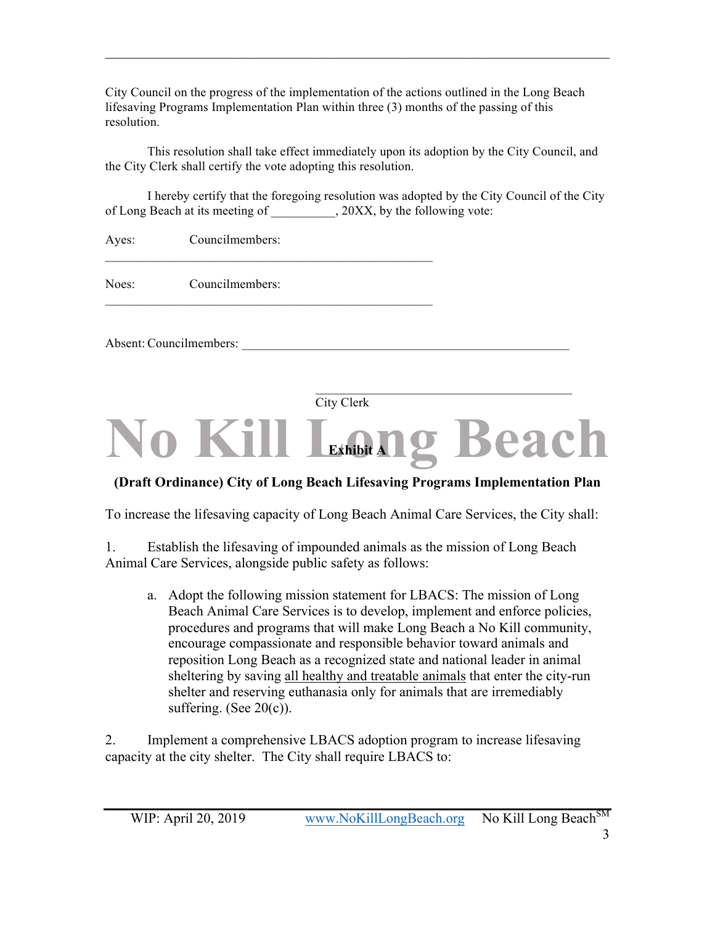City Council on the progress of the implementation of the actions outlined in the Long Beach lifesaving Programs Implementation Plan within three (3) months of the passing of this resolution.

 $\mathcal{L}_\mathcal{L} = \{ \mathcal{L}_\mathcal{L} = \{ \mathcal{L}_\mathcal{L} = \{ \mathcal{L}_\mathcal{L} = \{ \mathcal{L}_\mathcal{L} = \{ \mathcal{L}_\mathcal{L} = \{ \mathcal{L}_\mathcal{L} = \{ \mathcal{L}_\mathcal{L} = \{ \mathcal{L}_\mathcal{L} = \{ \mathcal{L}_\mathcal{L} = \{ \mathcal{L}_\mathcal{L} = \{ \mathcal{L}_\mathcal{L} = \{ \mathcal{L}_\mathcal{L} = \{ \mathcal{L}_\mathcal{L} = \{ \mathcal{L}_\mathcal{$ 

This resolution shall take effect immediately upon its adoption by the City Council, and the City Clerk shall certify the vote adopting this resolution.

I hereby certify that the foregoing resolution was adopted by the City Council of the City of Long Beach at its meeting of  $.20XX$ , by the following vote:

| Ayes: | Councilmembers:         |            |  |
|-------|-------------------------|------------|--|
| Noes: | Councilmembers:         |            |  |
|       | Absent: Councilmembers: |            |  |
|       |                         | City Clerk |  |

# **No Kill LEADING Beach**

## **(Draft Ordinance) City of Long Beach Lifesaving Programs Implementation Plan**

To increase the lifesaving capacity of Long Beach Animal Care Services, the City shall:

1. Establish the lifesaving of impounded animals as the mission of Long Beach Animal Care Services, alongside public safety as follows:

a. Adopt the following mission statement for LBACS: The mission of Long Beach Animal Care Services is to develop, implement and enforce policies, procedures and programs that will make Long Beach a No Kill community, encourage compassionate and responsible behavior toward animals and reposition Long Beach as a recognized state and national leader in animal sheltering by saving all healthy and treatable animals that enter the city-run shelter and reserving euthanasia only for animals that are irremediably suffering. (See  $20(c)$ ).

2. Implement a comprehensive LBACS adoption program to increase lifesaving capacity at the city shelter. The City shall require LBACS to: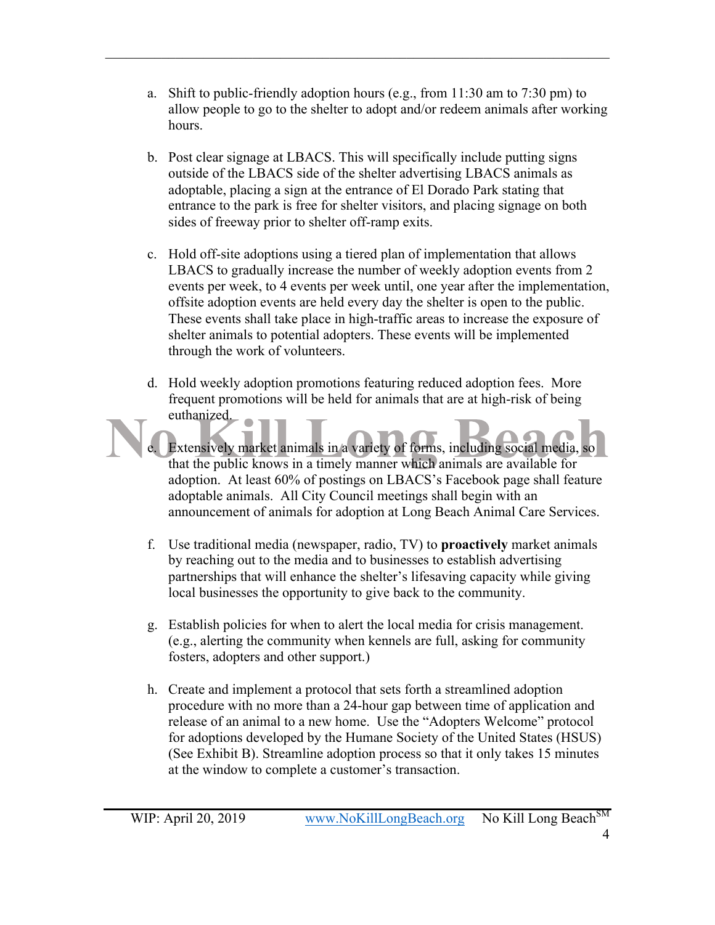a. Shift to public-friendly adoption hours (e.g., from 11:30 am to 7:30 pm) to allow people to go to the shelter to adopt and/or redeem animals after working hours.

 $\mathcal{L}_\mathcal{L} = \{ \mathcal{L}_\mathcal{L} = \{ \mathcal{L}_\mathcal{L} = \{ \mathcal{L}_\mathcal{L} = \{ \mathcal{L}_\mathcal{L} = \{ \mathcal{L}_\mathcal{L} = \{ \mathcal{L}_\mathcal{L} = \{ \mathcal{L}_\mathcal{L} = \{ \mathcal{L}_\mathcal{L} = \{ \mathcal{L}_\mathcal{L} = \{ \mathcal{L}_\mathcal{L} = \{ \mathcal{L}_\mathcal{L} = \{ \mathcal{L}_\mathcal{L} = \{ \mathcal{L}_\mathcal{L} = \{ \mathcal{L}_\mathcal{$ 

- b. Post clear signage at LBACS. This will specifically include putting signs outside of the LBACS side of the shelter advertising LBACS animals as adoptable, placing a sign at the entrance of El Dorado Park stating that entrance to the park is free for shelter visitors, and placing signage on both sides of freeway prior to shelter off-ramp exits.
- c. Hold off-site adoptions using a tiered plan of implementation that allows LBACS to gradually increase the number of weekly adoption events from 2 events per week, to 4 events per week until, one year after the implementation, offsite adoption events are held every day the shelter is open to the public. These events shall take place in high-traffic areas to increase the exposure of shelter animals to potential adopters. These events will be implemented through the work of volunteers.
- d. Hold weekly adoption promotions featuring reduced adoption fees. More frequent promotions will be held for animals that are at high-risk of being euthanized.
- e. Extensively market animals in a variety of forms, including social media, so that the public knows in a timely manner which animals are available for adoption. At least 60% of postings on LBACS's Facebook page shall feature adoptable animals. All City Council meetings shall begin with an announcement of animals for adoption at Long Beach Animal Care Services.
	- f. Use traditional media (newspaper, radio, TV) to **proactively** market animals by reaching out to the media and to businesses to establish advertising partnerships that will enhance the shelter's lifesaving capacity while giving local businesses the opportunity to give back to the community.
	- g. Establish policies for when to alert the local media for crisis management. (e.g., alerting the community when kennels are full, asking for community fosters, adopters and other support.)
	- h. Create and implement a protocol that sets forth a streamlined adoption procedure with no more than a 24-hour gap between time of application and release of an animal to a new home. Use the "Adopters Welcome" protocol for adoptions developed by the Humane Society of the United States (HSUS) (See Exhibit B). Streamline adoption process so that it only takes 15 minutes at the window to complete a customer's transaction.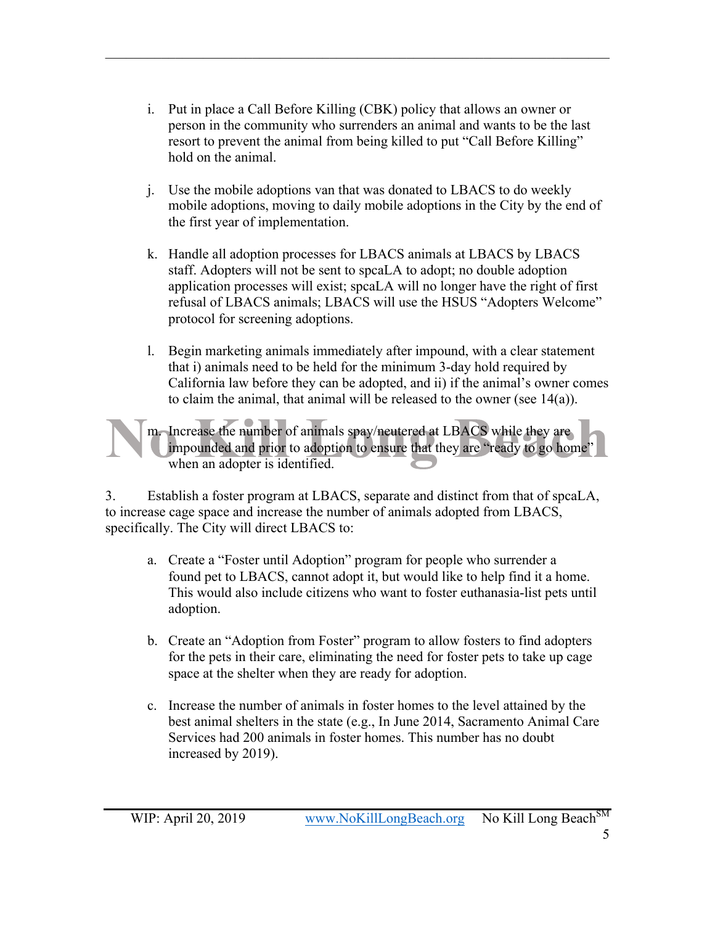i. Put in place a Call Before Killing (CBK) policy that allows an owner or person in the community who surrenders an animal and wants to be the last resort to prevent the animal from being killed to put "Call Before Killing" hold on the animal.

 $\mathcal{L}_\mathcal{L} = \{ \mathcal{L}_\mathcal{L} = \{ \mathcal{L}_\mathcal{L} = \{ \mathcal{L}_\mathcal{L} = \{ \mathcal{L}_\mathcal{L} = \{ \mathcal{L}_\mathcal{L} = \{ \mathcal{L}_\mathcal{L} = \{ \mathcal{L}_\mathcal{L} = \{ \mathcal{L}_\mathcal{L} = \{ \mathcal{L}_\mathcal{L} = \{ \mathcal{L}_\mathcal{L} = \{ \mathcal{L}_\mathcal{L} = \{ \mathcal{L}_\mathcal{L} = \{ \mathcal{L}_\mathcal{L} = \{ \mathcal{L}_\mathcal{$ 

- j. Use the mobile adoptions van that was donated to LBACS to do weekly mobile adoptions, moving to daily mobile adoptions in the City by the end of the first year of implementation.
- k. Handle all adoption processes for LBACS animals at LBACS by LBACS staff. Adopters will not be sent to spcaLA to adopt; no double adoption application processes will exist; spcaLA will no longer have the right of first refusal of LBACS animals; LBACS will use the HSUS "Adopters Welcome" protocol for screening adoptions.
- l. Begin marketing animals immediately after impound, with a clear statement that i) animals need to be held for the minimum 3-day hold required by California law before they can be adopted, and ii) if the animal's owner comes to claim the animal, that animal will be released to the owner (see 14(a)).

m. Increase the number of animals spay/neutered at LBACS while they are impounded and prior to adoption to ensure that they are "ready to go home" when an adopter is identified.

3. Establish a foster program at LBACS, separate and distinct from that of spcaLA, to increase cage space and increase the number of animals adopted from LBACS, specifically. The City will direct LBACS to:

- a. Create a "Foster until Adoption" program for people who surrender a found pet to LBACS, cannot adopt it, but would like to help find it a home. This would also include citizens who want to foster euthanasia-list pets until adoption.
- b. Create an "Adoption from Foster" program to allow fosters to find adopters for the pets in their care, eliminating the need for foster pets to take up cage space at the shelter when they are ready for adoption.
- c. Increase the number of animals in foster homes to the level attained by the best animal shelters in the state (e.g., In June 2014, Sacramento Animal Care Services had 200 animals in foster homes. This number has no doubt increased by 2019).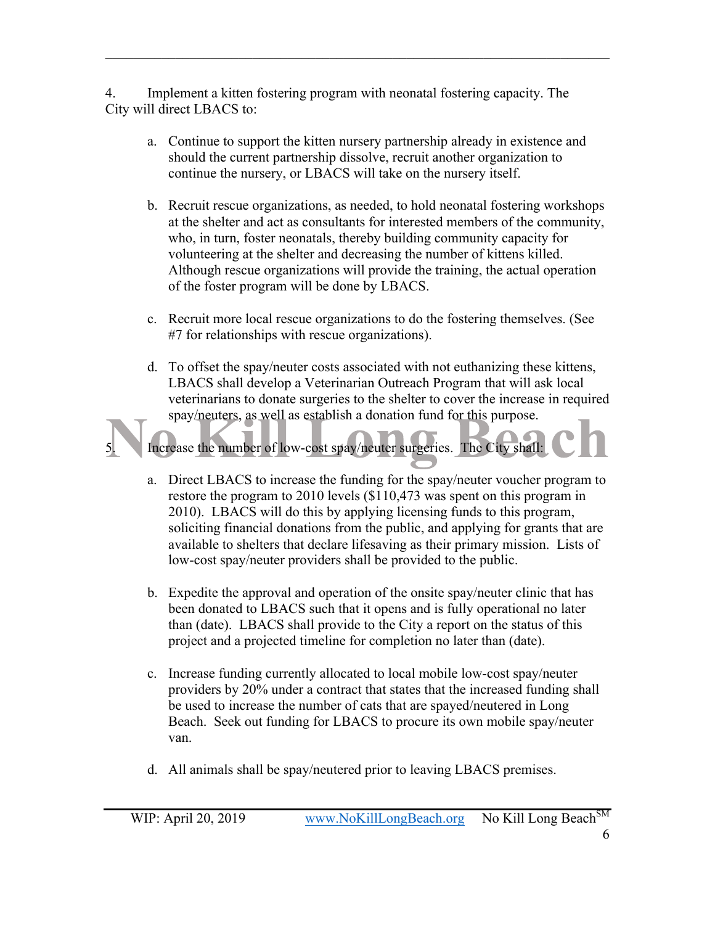4. Implement a kitten fostering program with neonatal fostering capacity. The City will direct LBACS to:

 $\mathcal{L}_\mathcal{L} = \{ \mathcal{L}_\mathcal{L} = \{ \mathcal{L}_\mathcal{L} = \{ \mathcal{L}_\mathcal{L} = \{ \mathcal{L}_\mathcal{L} = \{ \mathcal{L}_\mathcal{L} = \{ \mathcal{L}_\mathcal{L} = \{ \mathcal{L}_\mathcal{L} = \{ \mathcal{L}_\mathcal{L} = \{ \mathcal{L}_\mathcal{L} = \{ \mathcal{L}_\mathcal{L} = \{ \mathcal{L}_\mathcal{L} = \{ \mathcal{L}_\mathcal{L} = \{ \mathcal{L}_\mathcal{L} = \{ \mathcal{L}_\mathcal{$ 

- a. Continue to support the kitten nursery partnership already in existence and should the current partnership dissolve, recruit another organization to continue the nursery, or LBACS will take on the nursery itself.
- b. Recruit rescue organizations, as needed, to hold neonatal fostering workshops at the shelter and act as consultants for interested members of the community, who, in turn, foster neonatals, thereby building community capacity for volunteering at the shelter and decreasing the number of kittens killed. Although rescue organizations will provide the training, the actual operation of the foster program will be done by LBACS.
- c. Recruit more local rescue organizations to do the fostering themselves. (See #7 for relationships with rescue organizations).
- d. To offset the spay/neuter costs associated with not euthanizing these kittens, LBACS shall develop a Veterinarian Outreach Program that will ask local veterinarians to donate surgeries to the shelter to cover the increase in required spay/neuters, as well as establish a donation fund for this purpose.



low-cost spay/neuter providers shall be provided to the public.

b. Expedite the approval and operation of the onsite spay/neuter clinic that has been donated to LBACS such that it opens and is fully operational no later than (date). LBACS shall provide to the City a report on the status of this project and a projected timeline for completion no later than (date).

available to shelters that declare lifesaving as their primary mission. Lists of

- c. Increase funding currently allocated to local mobile low-cost spay/neuter providers by 20% under a contract that states that the increased funding shall be used to increase the number of cats that are spayed/neutered in Long Beach. Seek out funding for LBACS to procure its own mobile spay/neuter van.
- d. All animals shall be spay/neutered prior to leaving LBACS premises.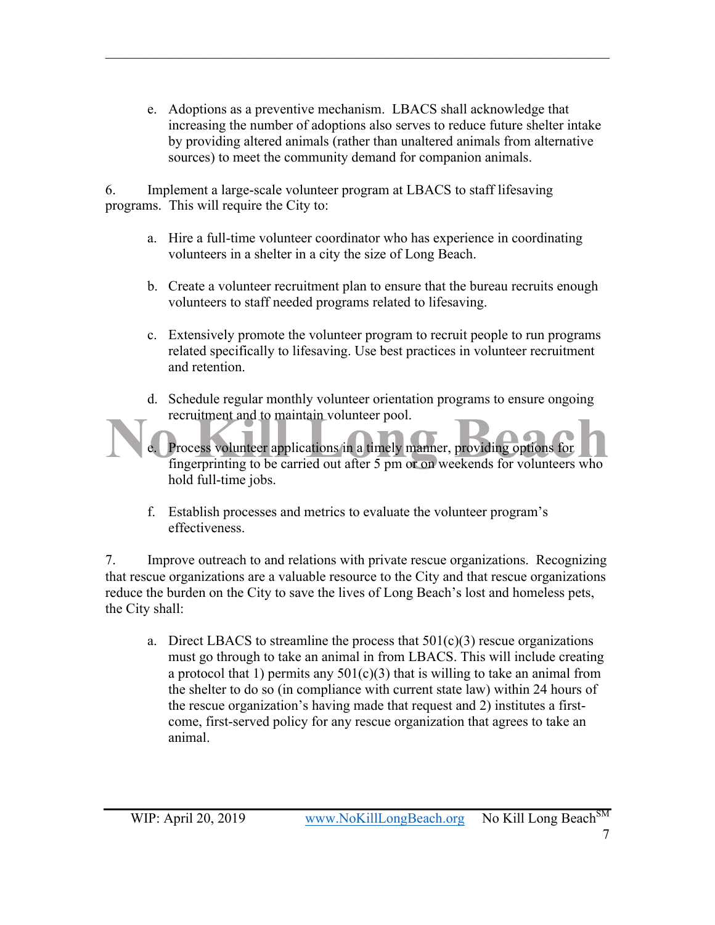e. Adoptions as a preventive mechanism. LBACS shall acknowledge that increasing the number of adoptions also serves to reduce future shelter intake by providing altered animals (rather than unaltered animals from alternative sources) to meet the community demand for companion animals.

 $\mathcal{L}_\mathcal{L} = \{ \mathcal{L}_\mathcal{L} = \{ \mathcal{L}_\mathcal{L} = \{ \mathcal{L}_\mathcal{L} = \{ \mathcal{L}_\mathcal{L} = \{ \mathcal{L}_\mathcal{L} = \{ \mathcal{L}_\mathcal{L} = \{ \mathcal{L}_\mathcal{L} = \{ \mathcal{L}_\mathcal{L} = \{ \mathcal{L}_\mathcal{L} = \{ \mathcal{L}_\mathcal{L} = \{ \mathcal{L}_\mathcal{L} = \{ \mathcal{L}_\mathcal{L} = \{ \mathcal{L}_\mathcal{L} = \{ \mathcal{L}_\mathcal{$ 

6. Implement a large-scale volunteer program at LBACS to staff lifesaving programs. This will require the City to:

- a. Hire a full-time volunteer coordinator who has experience in coordinating volunteers in a shelter in a city the size of Long Beach.
- b. Create a volunteer recruitment plan to ensure that the bureau recruits enough volunteers to staff needed programs related to lifesaving.
- c. Extensively promote the volunteer program to recruit people to run programs related specifically to lifesaving. Use best practices in volunteer recruitment and retention.
- d. Schedule regular monthly volunteer orientation programs to ensure ongoing recruitment and to maintain volunteer pool.
- e. Process volunteer applications in a timely manner, providing options for fingerprinting to be carried out after 5 pm or on weekends for volunteers who hold full-time jobs.
	- f. Establish processes and metrics to evaluate the volunteer program's effectiveness.

7. Improve outreach to and relations with private rescue organizations. Recognizing that rescue organizations are a valuable resource to the City and that rescue organizations reduce the burden on the City to save the lives of Long Beach's lost and homeless pets, the City shall:

a. Direct LBACS to streamline the process that  $501(c)(3)$  rescue organizations must go through to take an animal in from LBACS. This will include creating a protocol that 1) permits any  $501(c)(3)$  that is willing to take an animal from the shelter to do so (in compliance with current state law) within 24 hours of the rescue organization's having made that request and 2) institutes a firstcome, first-served policy for any rescue organization that agrees to take an animal.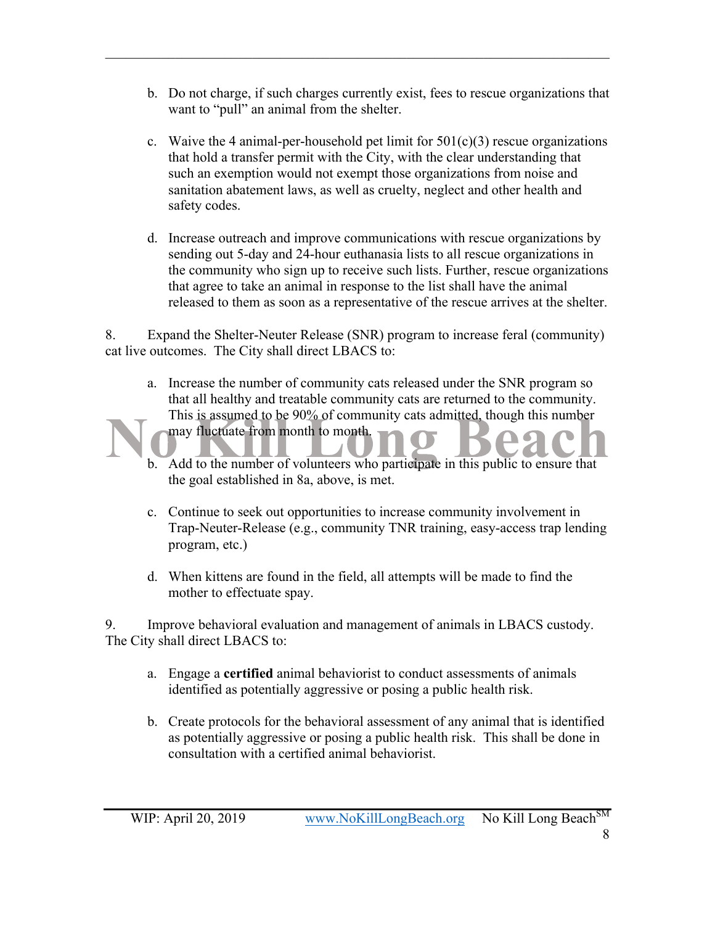b. Do not charge, if such charges currently exist, fees to rescue organizations that want to "pull" an animal from the shelter.

 $\mathcal{L}_\mathcal{L} = \{ \mathcal{L}_\mathcal{L} = \{ \mathcal{L}_\mathcal{L} = \{ \mathcal{L}_\mathcal{L} = \{ \mathcal{L}_\mathcal{L} = \{ \mathcal{L}_\mathcal{L} = \{ \mathcal{L}_\mathcal{L} = \{ \mathcal{L}_\mathcal{L} = \{ \mathcal{L}_\mathcal{L} = \{ \mathcal{L}_\mathcal{L} = \{ \mathcal{L}_\mathcal{L} = \{ \mathcal{L}_\mathcal{L} = \{ \mathcal{L}_\mathcal{L} = \{ \mathcal{L}_\mathcal{L} = \{ \mathcal{L}_\mathcal{$ 

- c. Waive the 4 animal-per-household pet limit for  $501(c)(3)$  rescue organizations that hold a transfer permit with the City, with the clear understanding that such an exemption would not exempt those organizations from noise and sanitation abatement laws, as well as cruelty, neglect and other health and safety codes.
- d. Increase outreach and improve communications with rescue organizations by sending out 5-day and 24-hour euthanasia lists to all rescue organizations in the community who sign up to receive such lists. Further, rescue organizations that agree to take an animal in response to the list shall have the animal released to them as soon as a representative of the rescue arrives at the shelter.

8. Expand the Shelter-Neuter Release (SNR) program to increase feral (community) cat live outcomes. The City shall direct LBACS to:

- a. Increase the number of community cats released under the SNR program so that all healthy and treatable community cats are returned to the community. This is assumed to be 90% of community cats admitted, though this number may fluctuate from month to month.
- b. Add to the number of volunteers who participate in this public to ensure that the goal established in 8a, above, is met.
- c. Continue to seek out opportunities to increase community involvement in Trap-Neuter-Release (e.g., community TNR training, easy-access trap lending program, etc.)
- d. When kittens are found in the field, all attempts will be made to find the mother to effectuate spay.

9. Improve behavioral evaluation and management of animals in LBACS custody. The City shall direct LBACS to:

- a. Engage a **certified** animal behaviorist to conduct assessments of animals identified as potentially aggressive or posing a public health risk.
- b. Create protocols for the behavioral assessment of any animal that is identified as potentially aggressive or posing a public health risk. This shall be done in consultation with a certified animal behaviorist.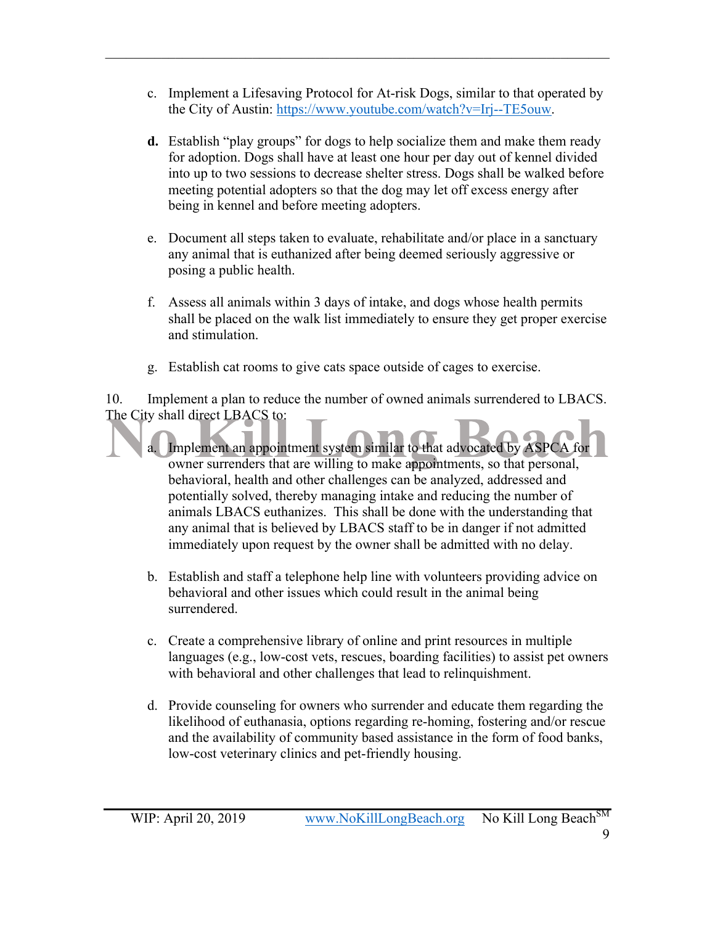c. Implement a Lifesaving Protocol for At-risk Dogs, similar to that operated by the City of Austin: https://www.youtube.com/watch?v=Irj--TE5ouw.

 $\mathcal{L}_\mathcal{L} = \{ \mathcal{L}_\mathcal{L} = \{ \mathcal{L}_\mathcal{L} = \{ \mathcal{L}_\mathcal{L} = \{ \mathcal{L}_\mathcal{L} = \{ \mathcal{L}_\mathcal{L} = \{ \mathcal{L}_\mathcal{L} = \{ \mathcal{L}_\mathcal{L} = \{ \mathcal{L}_\mathcal{L} = \{ \mathcal{L}_\mathcal{L} = \{ \mathcal{L}_\mathcal{L} = \{ \mathcal{L}_\mathcal{L} = \{ \mathcal{L}_\mathcal{L} = \{ \mathcal{L}_\mathcal{L} = \{ \mathcal{L}_\mathcal{$ 

- **d.** Establish "play groups" for dogs to help socialize them and make them ready for adoption. Dogs shall have at least one hour per day out of kennel divided into up to two sessions to decrease shelter stress. Dogs shall be walked before meeting potential adopters so that the dog may let off excess energy after being in kennel and before meeting adopters.
- e. Document all steps taken to evaluate, rehabilitate and/or place in a sanctuary any animal that is euthanized after being deemed seriously aggressive or posing a public health.
- f. Assess all animals within 3 days of intake, and dogs whose health permits shall be placed on the walk list immediately to ensure they get proper exercise and stimulation.
- g. Establish cat rooms to give cats space outside of cages to exercise.

10. Implement a plan to reduce the number of owned animals surrendered to LBACS. The City shall direct LBACS to:

- a. Implement an appointment system similar to that advocated by ASPCA for owner surrenders that are willing to make appointments, so that personal, behavioral, health and other challenges can be analyzed, addressed and potentially solved, thereby managing intake and reducing the number of animals LBACS euthanizes. This shall be done with the understanding that any animal that is believed by LBACS staff to be in danger if not admitted immediately upon request by the owner shall be admitted with no delay.
- b. Establish and staff a telephone help line with volunteers providing advice on behavioral and other issues which could result in the animal being surrendered.
- c. Create a comprehensive library of online and print resources in multiple languages (e.g., low-cost vets, rescues, boarding facilities) to assist pet owners with behavioral and other challenges that lead to relinquishment.
- d. Provide counseling for owners who surrender and educate them regarding the likelihood of euthanasia, options regarding re-homing, fostering and/or rescue and the availability of community based assistance in the form of food banks, low-cost veterinary clinics and pet-friendly housing.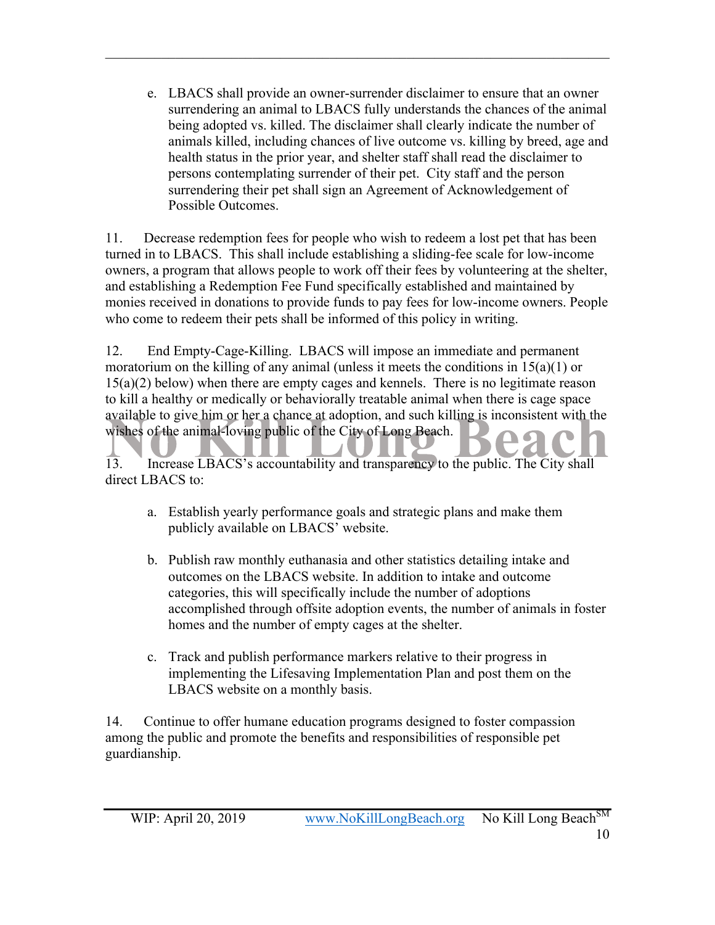e. LBACS shall provide an owner-surrender disclaimer to ensure that an owner surrendering an animal to LBACS fully understands the chances of the animal being adopted vs. killed. The disclaimer shall clearly indicate the number of animals killed, including chances of live outcome vs. killing by breed, age and health status in the prior year, and shelter staff shall read the disclaimer to persons contemplating surrender of their pet. City staff and the person surrendering their pet shall sign an Agreement of Acknowledgement of Possible Outcomes.

 $\mathcal{L}_\mathcal{L} = \{ \mathcal{L}_\mathcal{L} = \{ \mathcal{L}_\mathcal{L} = \{ \mathcal{L}_\mathcal{L} = \{ \mathcal{L}_\mathcal{L} = \{ \mathcal{L}_\mathcal{L} = \{ \mathcal{L}_\mathcal{L} = \{ \mathcal{L}_\mathcal{L} = \{ \mathcal{L}_\mathcal{L} = \{ \mathcal{L}_\mathcal{L} = \{ \mathcal{L}_\mathcal{L} = \{ \mathcal{L}_\mathcal{L} = \{ \mathcal{L}_\mathcal{L} = \{ \mathcal{L}_\mathcal{L} = \{ \mathcal{L}_\mathcal{$ 

11. Decrease redemption fees for people who wish to redeem a lost pet that has been turned in to LBACS. This shall include establishing a sliding-fee scale for low-income owners, a program that allows people to work off their fees by volunteering at the shelter, and establishing a Redemption Fee Fund specifically established and maintained by monies received in donations to provide funds to pay fees for low-income owners. People who come to redeem their pets shall be informed of this policy in writing.

12. End Empty-Cage-Killing. LBACS will impose an immediate and permanent moratorium on the killing of any animal (unless it meets the conditions in  $15(a)(1)$  or 15(a)(2) below) when there are empty cages and kennels. There is no legitimate reason to kill a healthy or medically or behaviorally treatable animal when there is cage space available to give him or her a chance at adoption, and such killing is inconsistent with the wishes of the animal-loving public of the City of Long Beach.

13. Increase LBACS's accountability and transparency to the public. The City shall direct LBACS to:

- a. Establish yearly performance goals and strategic plans and make them publicly available on LBACS' website.
- b. Publish raw monthly euthanasia and other statistics detailing intake and outcomes on the LBACS website. In addition to intake and outcome categories, this will specifically include the number of adoptions accomplished through offsite adoption events, the number of animals in foster homes and the number of empty cages at the shelter.
- c. Track and publish performance markers relative to their progress in implementing the Lifesaving Implementation Plan and post them on the LBACS website on a monthly basis.

14. Continue to offer humane education programs designed to foster compassion among the public and promote the benefits and responsibilities of responsible pet guardianship.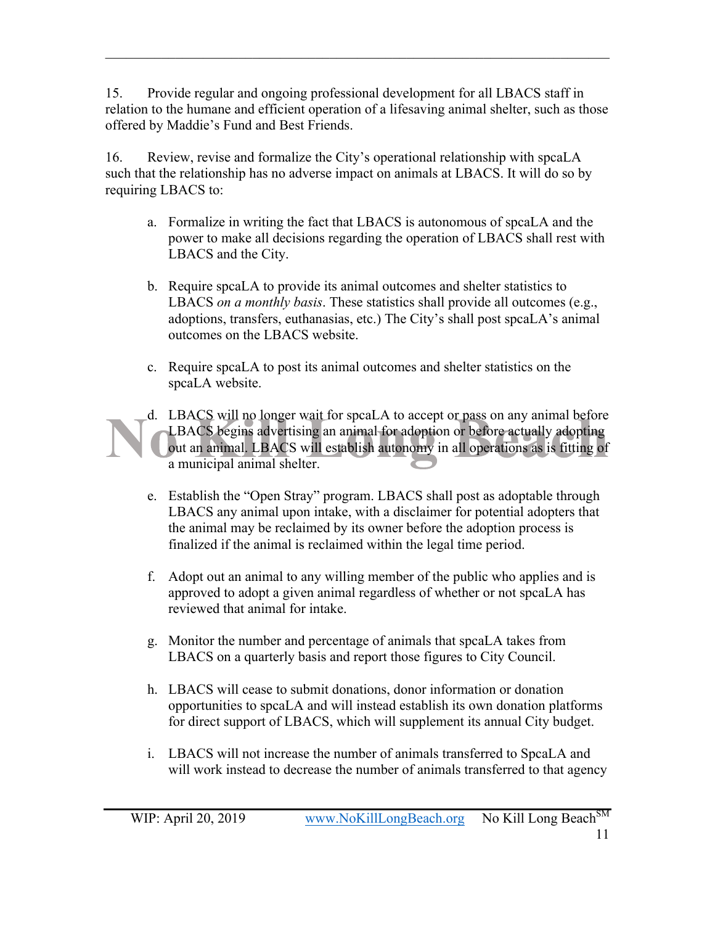15. Provide regular and ongoing professional development for all LBACS staff in relation to the humane and efficient operation of a lifesaving animal shelter, such as those offered by Maddie's Fund and Best Friends.

 $\mathcal{L}_\mathcal{L} = \{ \mathcal{L}_\mathcal{L} = \{ \mathcal{L}_\mathcal{L} = \{ \mathcal{L}_\mathcal{L} = \{ \mathcal{L}_\mathcal{L} = \{ \mathcal{L}_\mathcal{L} = \{ \mathcal{L}_\mathcal{L} = \{ \mathcal{L}_\mathcal{L} = \{ \mathcal{L}_\mathcal{L} = \{ \mathcal{L}_\mathcal{L} = \{ \mathcal{L}_\mathcal{L} = \{ \mathcal{L}_\mathcal{L} = \{ \mathcal{L}_\mathcal{L} = \{ \mathcal{L}_\mathcal{L} = \{ \mathcal{L}_\mathcal{$ 

16. Review, revise and formalize the City's operational relationship with spcaLA such that the relationship has no adverse impact on animals at LBACS. It will do so by requiring LBACS to:

- a. Formalize in writing the fact that LBACS is autonomous of spcaLA and the power to make all decisions regarding the operation of LBACS shall rest with LBACS and the City.
- b. Require spcaLA to provide its animal outcomes and shelter statistics to LBACS *on a monthly basis*. These statistics shall provide all outcomes (e.g., adoptions, transfers, euthanasias, etc.) The City's shall post spcaLA's animal outcomes on the LBACS website.
- c. Require spcaLA to post its animal outcomes and shelter statistics on the spcaLA website.

d. LBACS will no longer wait for spcaLA to accept or pass on any animal before LBACS begins advertising an animal for adoption or before actually adopting out an animal. LBACS will establish autonomy in all operations as is fitting of a municipal animal shelter.

- e. Establish the "Open Stray" program. LBACS shall post as adoptable through LBACS any animal upon intake, with a disclaimer for potential adopters that the animal may be reclaimed by its owner before the adoption process is finalized if the animal is reclaimed within the legal time period.
- f. Adopt out an animal to any willing member of the public who applies and is approved to adopt a given animal regardless of whether or not spcaLA has reviewed that animal for intake.
- g. Monitor the number and percentage of animals that spcaLA takes from LBACS on a quarterly basis and report those figures to City Council.
- h. LBACS will cease to submit donations, donor information or donation opportunities to spcaLA and will instead establish its own donation platforms for direct support of LBACS, which will supplement its annual City budget.
- i. LBACS will not increase the number of animals transferred to SpcaLA and will work instead to decrease the number of animals transferred to that agency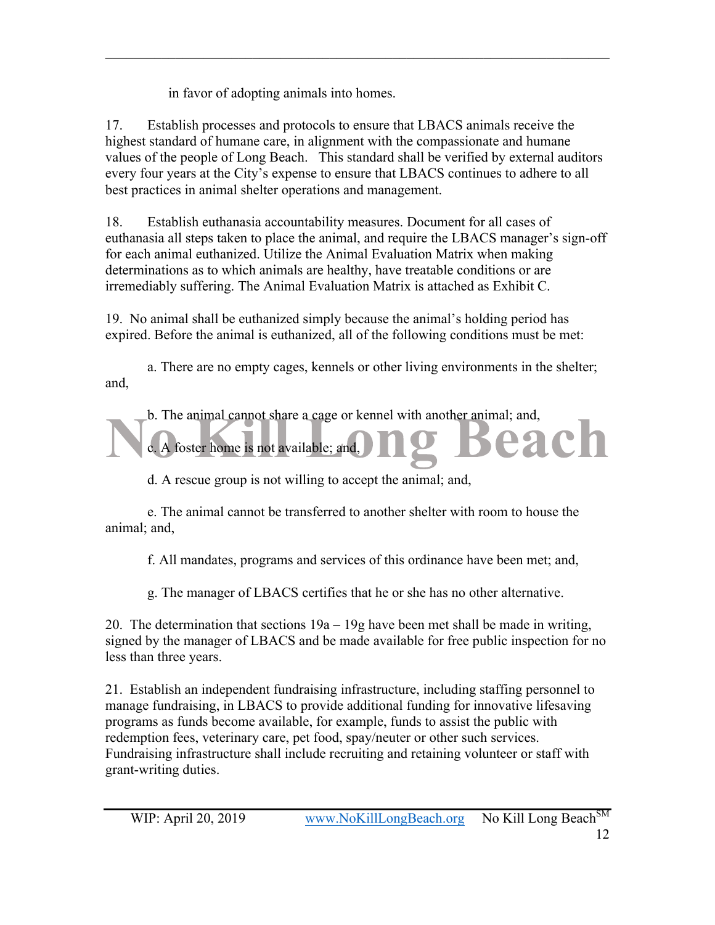in favor of adopting animals into homes.

17. Establish processes and protocols to ensure that LBACS animals receive the highest standard of humane care, in alignment with the compassionate and humane values of the people of Long Beach. This standard shall be verified by external auditors every four years at the City's expense to ensure that LBACS continues to adhere to all best practices in animal shelter operations and management.

 $\mathcal{L}_\mathcal{L} = \{ \mathcal{L}_\mathcal{L} = \{ \mathcal{L}_\mathcal{L} = \{ \mathcal{L}_\mathcal{L} = \{ \mathcal{L}_\mathcal{L} = \{ \mathcal{L}_\mathcal{L} = \{ \mathcal{L}_\mathcal{L} = \{ \mathcal{L}_\mathcal{L} = \{ \mathcal{L}_\mathcal{L} = \{ \mathcal{L}_\mathcal{L} = \{ \mathcal{L}_\mathcal{L} = \{ \mathcal{L}_\mathcal{L} = \{ \mathcal{L}_\mathcal{L} = \{ \mathcal{L}_\mathcal{L} = \{ \mathcal{L}_\mathcal{$ 

18. Establish euthanasia accountability measures. Document for all cases of euthanasia all steps taken to place the animal, and require the LBACS manager's sign-off for each animal euthanized. Utilize the Animal Evaluation Matrix when making determinations as to which animals are healthy, have treatable conditions or are irremediably suffering. The Animal Evaluation Matrix is attached as Exhibit C.

19. No animal shall be euthanized simply because the animal's holding period has expired. Before the animal is euthanized, all of the following conditions must be met:

a. There are no empty cages, kennels or other living environments in the shelter; and,



d. A rescue group is not willing to accept the animal; and,

e. The animal cannot be transferred to another shelter with room to house the animal; and,

f. All mandates, programs and services of this ordinance have been met; and,

g. The manager of LBACS certifies that he or she has no other alternative.

20. The determination that sections  $19a - 19g$  have been met shall be made in writing, signed by the manager of LBACS and be made available for free public inspection for no less than three years.

21. Establish an independent fundraising infrastructure, including staffing personnel to manage fundraising, in LBACS to provide additional funding for innovative lifesaving programs as funds become available, for example, funds to assist the public with redemption fees, veterinary care, pet food, spay/neuter or other such services. Fundraising infrastructure shall include recruiting and retaining volunteer or staff with grant-writing duties.